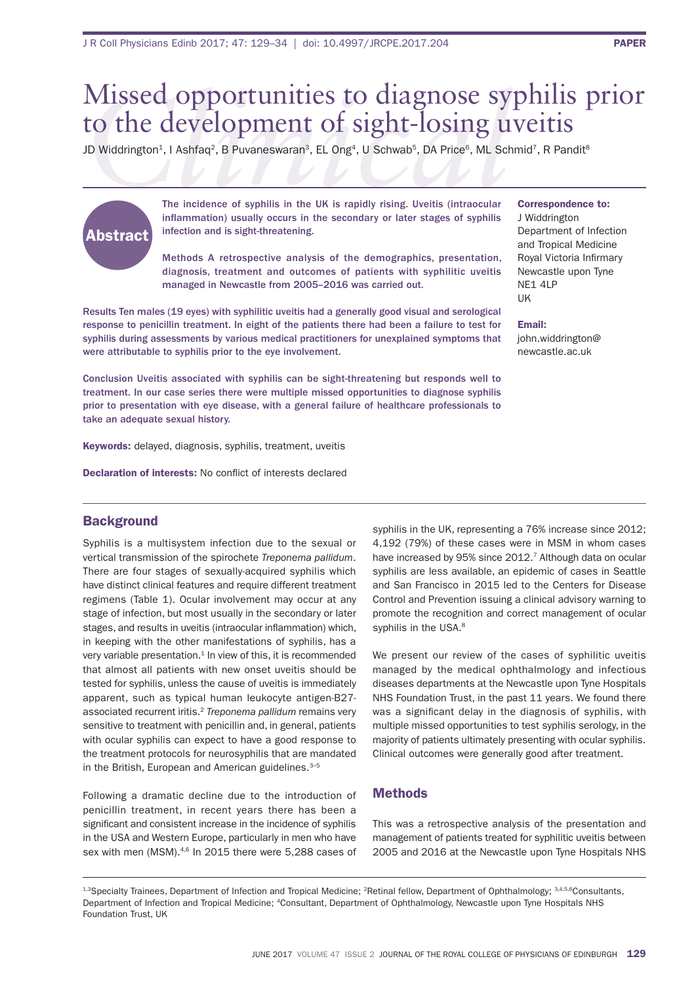# *Clinical* Missed opportunities to diagnose syphilis prior to the development of sight-losing uveitis

JD Widdrington<sup>1</sup>, I Ashfaq<sup>2</sup>, B Puvaneswaran<sup>3</sup>, EL Ong<sup>4</sup>, U Schwab<sup>5</sup>, DA Price<sup>6</sup>, ML Schmid<sup>7</sup>, R Pandit<sup>8</sup>

# Abstract

The incidence of syphilis in the UK is rapidly rising. Uveitis (intraocular inflammation) usually occurs in the secondary or later stages of syphilis infection and is sight-threatening.

Methods A retrospective analysis of the demographics, presentation, diagnosis, treatment and outcomes of patients with syphilitic uveitis managed in Newcastle from 2005–2016 was carried out.

Results Ten males (19 eyes) with syphilitic uveitis had a generally good visual and serological response to penicillin treatment. In eight of the patients there had been a failure to test for syphilis during assessments by various medical practitioners for unexplained symptoms that were attributable to syphilis prior to the eye involvement.

Conclusion Uveitis associated with syphilis can be sight-threatening but responds well to treatment. In our case series there were multiple missed opportunities to diagnose syphilis prior to presentation with eye disease, with a general failure of healthcare professionals to take an adequate sexual history.

Keywords: delayed, diagnosis, syphilis, treatment, uveitis

Declaration of interests: No conflict of interests declared

# **Background**

syphilis is a multisystem infection due to the sexual or vertical transmission of the spirochete *Treponema pallidum*. There are four stages of sexually-acquired syphilis which have distinct clinical features and require different treatment regimens (Table 1). Ocular involvement may occur at any stage of infection, but most usually in the secondary or later stages, and results in uveitis (intraocular inflammation) which, in keeping with the other manifestations of syphilis, has a very variable presentation. $1$  In view of this, it is recommended that almost all patients with new onset uveitis should be tested for syphilis, unless the cause of uveitis is immediately apparent, such as typical human leukocyte antigen-b27 associated recurrent iritis.2 *Treponema pallidum* remains very sensitive to treatment with penicillin and, in general, patients with ocular syphilis can expect to have a good response to the treatment protocols for neurosyphilis that are mandated in the British, European and American guidelines. $3-5$ 

following a dramatic decline due to the introduction of penicillin treatment, in recent years there has been a significant and consistent increase in the incidence of syphilis in the USA and Western Europe, particularly in men who have sex with men (MSM).<sup>4,6</sup> In 2015 there were 5,288 cases of

syphilis in the UK, representing a 76% increase since 2012; 4,192 (79%) of these cases were in MSM in whom cases have increased by 95% since 2012.<sup>7</sup> Although data on ocular syphilis are less available, an epidemic of cases in seattle and San Francisco in 2015 led to the Centers for Disease Control and Prevention issuing a clinical advisory warning to promote the recognition and correct management of ocular syphilis in the USA.<sup>8</sup>

We present our review of the cases of syphilitic uveitis managed by the medical ophthalmology and infectious diseases departments at the Newcastle upon Tyne Hospitals NHS Foundation Trust, in the past 11 years. We found there was a significant delay in the diagnosis of syphilis, with multiple missed opportunities to test syphilis serology, in the majority of patients ultimately presenting with ocular syphilis. Clinical outcomes were generally good after treatment.

# **Methods**

This was a retrospective analysis of the presentation and management of patients treated for syphilitic uveitis between 2005 and 2016 at the Newcastle upon Tyne Hospitals NHS

J Widdrington Department of Infection and Tropical Medicine Royal Victoria Infirmary Newcastle upon Tyne ne1 4lP UK

Correspondence to:

Email: john.widdrington@ newcastle.ac.uk

<sup>1,3</sup>Specialty Trainees, Department of Infection and Tropical Medicine; <sup>2</sup>Retinal fellow, Department of Ophthalmology; 3,4,5,6Consultants, Department of Infection and Tropical Medicine; <sup>4</sup>Consultant, Department of Ophthalmology, Newcastle upon Tyne Hospitals NHS Foundation Trust, UK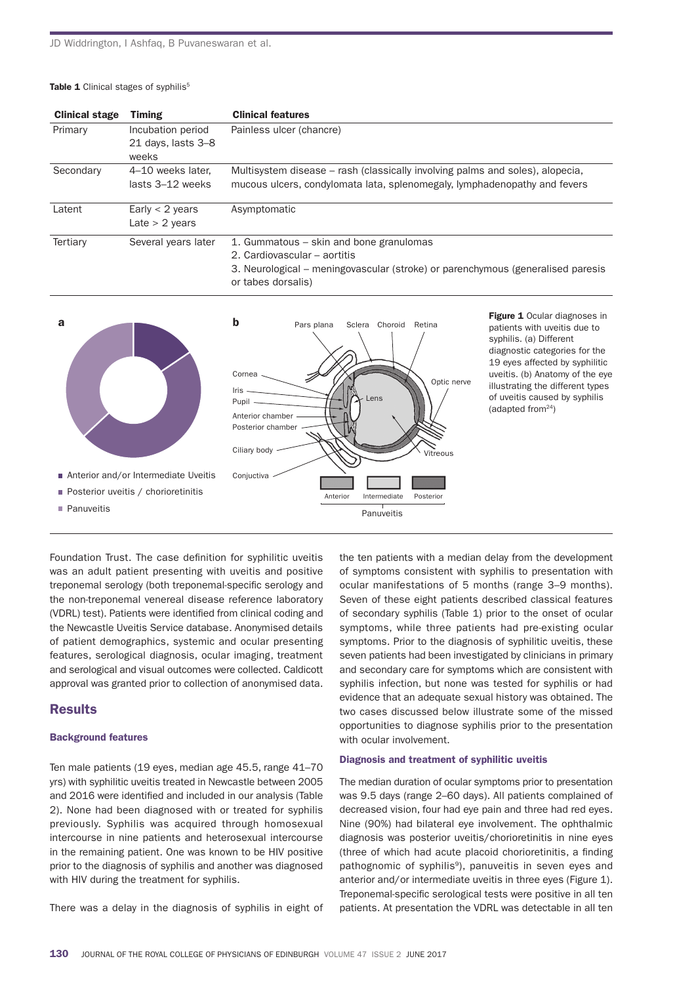#### Table 1 Clinical stages of syphilis<sup>5</sup>

| <b>Clinical stage</b> | <b>Timing</b>       | <b>Clinical features</b>                                                        |  |  |  |
|-----------------------|---------------------|---------------------------------------------------------------------------------|--|--|--|
| Primary               | Incubation period   | Painless ulcer (chancre)                                                        |  |  |  |
|                       | 21 days, lasts 3-8  |                                                                                 |  |  |  |
|                       | weeks               |                                                                                 |  |  |  |
| Secondary             | 4–10 weeks later.   | Multisystem disease – rash (classically involving palms and soles), alopecia,   |  |  |  |
|                       | lasts 3–12 weeks    | mucous ulcers, condylomata lata, splenomegaly, lymphadenopathy and fevers       |  |  |  |
| Latent                | Early $<$ 2 years   | Asymptomatic                                                                    |  |  |  |
|                       | Late $> 2$ years    |                                                                                 |  |  |  |
| Tertiary              | Several years later | 1. Gummatous – skin and bone granulomas                                         |  |  |  |
|                       |                     | 2. Cardiovascular – aortitis                                                    |  |  |  |
|                       |                     | 3. Neurological – meningovascular (stroke) or parenchymous (generalised paresis |  |  |  |
|                       |                     | or tabes dorsalis)                                                              |  |  |  |



Figure 1 Ocular diagnoses in patients with uveitis due to syphilis. (a) Different diagnostic categories for the 19 eyes affected by syphilitic uveitis. (b) Anatomy of the eye illustrating the different types of uveitis caused by syphilis (adapted from<sup>24</sup>)

Foundation Trust. The case definition for syphilitic uveitis was an adult patient presenting with uveitis and positive treponemal serology (both treponemal-specific serology and the non-treponemal venereal disease reference laboratory (VDRL) test). Patients were identified from clinical coding and the Newcastle Uveitis Service database. Anonymised details of patient demographics, systemic and ocular presenting features, serological diagnosis, ocular imaging, treatment and serological and visual outcomes were collected. Caldicott approval was granted prior to collection of anonymised data.

# Results

#### Background features

Ten male patients (19 eyes, median age 45.5, range 41–70 yrs) with syphilitic uveitis treated in newcastle between 2005 and 2016 were identified and included in our analysis (Table 2). None had been diagnosed with or treated for syphilis previously. syphilis was acquired through homosexual intercourse in nine patients and heterosexual intercourse in the remaining patient. One was known to be HIV positive prior to the diagnosis of syphilis and another was diagnosed with HIV during the treatment for syphilis.

there was a delay in the diagnosis of syphilis in eight of

the ten patients with a median delay from the development of symptoms consistent with syphilis to presentation with ocular manifestations of 5 months (range 3–9 months). seven of these eight patients described classical features of secondary syphilis (Table 1) prior to the onset of ocular symptoms, while three patients had pre-existing ocular symptoms. Prior to the diagnosis of syphilitic uveitis, these seven patients had been investigated by clinicians in primary and secondary care for symptoms which are consistent with syphilis infection, but none was tested for syphilis or had evidence that an adequate sexual history was obtained. The two cases discussed below illustrate some of the missed opportunities to diagnose syphilis prior to the presentation with ocular involvement.

#### Diagnosis and treatment of syphilitic uveitis

The median duration of ocular symptoms prior to presentation was 9.5 days (range 2–60 days). All patients complained of decreased vision, four had eye pain and three had red eyes. Nine (90%) had bilateral eye involvement. The ophthalmic diagnosis was posterior uveitis/chorioretinitis in nine eyes (three of which had acute placoid chorioretinitis, a finding pathognomic of syphilis<sup>9</sup>), panuveitis in seven eyes and anterior and/or intermediate uveitis in three eyes (figure 1). Treponemal-specific serological tests were positive in all ten patients. At presentation the VDRL was detectable in all ten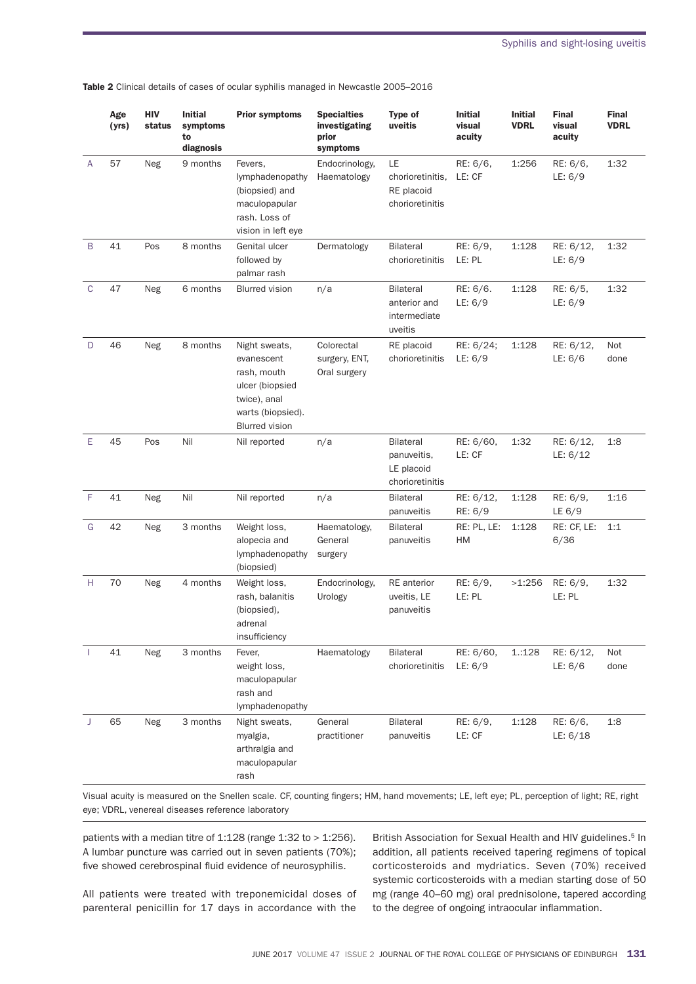|             | Age<br>(yrs) | HIV<br>status | <b>Initial</b><br>symptoms<br>to<br>diagnosis | <b>Prior symptoms</b>                                                                                                       | <b>Specialties</b><br>investigating<br>prior<br>symptoms | Type of<br>uveitis                                               | <b>Initial</b><br>visual<br>acuity | <b>Initial</b><br><b>VDRL</b> | <b>Final</b><br>visual<br>acuity | <b>Final</b><br><b>VDRL</b> |
|-------------|--------------|---------------|-----------------------------------------------|-----------------------------------------------------------------------------------------------------------------------------|----------------------------------------------------------|------------------------------------------------------------------|------------------------------------|-------------------------------|----------------------------------|-----------------------------|
| A           | 57           | Neg           | 9 months                                      | Fevers,<br>lymphadenopathy<br>(biopsied) and<br>maculopapular<br>rash. Loss of<br>vision in left eye                        | Endocrinology,<br>Haematology                            | LE<br>chorioretinitis,<br>RE placoid<br>chorioretinitis          | RE: 6/6,<br>LE: CF                 | 1:256                         | RE: 6/6,<br>LE: 6/9              | 1:32                        |
| B           | 41           | Pos           | 8 months                                      | Genital ulcer<br>followed by<br>palmar rash                                                                                 | Dermatology                                              | <b>Bilateral</b><br>chorioretinitis                              | RE: 6/9,<br>LE: PL                 | 1:128                         | RE: 6/12,<br>LE: 6/9             | 1:32                        |
| $\mathbf C$ | 47           | Neg           | 6 months                                      | <b>Blurred vision</b>                                                                                                       | n/a                                                      | <b>Bilateral</b><br>anterior and<br>intermediate<br>uveitis      | RE: 6/6.<br>LE: 6/9                | 1:128                         | RE: 6/5,<br>LE: 6/9              | 1:32                        |
| D           | 46           | Neg           | 8 months                                      | Night sweats,<br>evanescent<br>rash, mouth<br>ulcer (biopsied<br>twice), anal<br>warts (biopsied).<br><b>Blurred</b> vision | Colorectal<br>surgery, ENT,<br>Oral surgery              | RE placoid<br>chorioretinitis                                    | RE: 6/24;<br>LE: 6/9               | 1:128                         | RE: 6/12,<br>LE: 6/6             | Not<br>done                 |
| E           | 45           | Pos           | Nil                                           | Nil reported                                                                                                                | n/a                                                      | <b>Bilateral</b><br>panuveitis,<br>LE placoid<br>chorioretinitis | RE: 6/60,<br>LE: CF                | 1:32                          | RE: 6/12,<br>LE: 6/12            | 1:8                         |
| F           | 41           | Neg           | Nil                                           | Nil reported                                                                                                                | n/a                                                      | <b>Bilateral</b><br>panuveitis                                   | RE: 6/12,<br>RE: 6/9               | 1:128                         | RE: 6/9,<br>LE $6/9$             | 1:16                        |
| G           | 42           | Neg           | 3 months                                      | Weight loss,<br>alopecia and<br>lymphadenopathy<br>(biopsied)                                                               | Haematology,<br>General<br>surgery                       | <b>Bilateral</b><br>panuveitis                                   | RE: PL, LE:<br>HM                  | 1:128                         | RE: CF, LE:<br>6/36              | 1:1                         |
| Н           | 70           | Neg           | 4 months                                      | Weight loss,<br>rash, balanitis<br>(biopsied),<br>adrenal<br>insufficiency                                                  | Endocrinology,<br>Urology                                | <b>RE</b> anterior<br>uveitis, LE<br>panuveitis                  | RE: 6/9,<br>LE: PL                 | >1:256                        | RE: 6/9,<br>LE: PL               | 1:32                        |
|             | 41           | Neg           | 3 months                                      | Fever,<br>weight loss,<br>maculopapular<br>rash and<br>lymphadenopathy                                                      | Haematology                                              | <b>Bilateral</b><br>chorioretinitis                              | RE: 6/60,<br>LE: 6/9               | 1.:128                        | RE: 6/12,<br>LE: 6/6             | Not<br>done                 |
| J           | 65           | Neg           | 3 months                                      | Night sweats,<br>myalgia,<br>arthralgia and<br>maculopapular<br>rash                                                        | General<br>practitioner                                  | Bilateral<br>panuveitis                                          | RE: 6/9,<br>LE: CF                 | 1:128                         | RE: 6/6,<br>LE: 6/18             | 1:8                         |

Table 2 Clinical details of cases of ocular syphilis managed in Newcastle 2005-2016

Visual acuity is measured on the Snellen scale. CF, counting fingers; HM, hand movements; LE, left eye; PL, perception of light; RE, right eye; VDRL, venereal diseases reference laboratory

patients with a median titre of  $1:128$  (range  $1:32$  to  $>1:256$ ). a lumbar puncture was carried out in seven patients (70%); five showed cerebrospinal fluid evidence of neurosyphilis.

all patients were treated with treponemicidal doses of parenteral penicillin for 17 days in accordance with the

British Association for Sexual Health and HIV guidelines.<sup>5</sup> In addition, all patients received tapering regimens of topical corticosteroids and mydriatics. seven (70%) received systemic corticosteroids with a median starting dose of 50 mg (range 40–60 mg) oral prednisolone, tapered according to the degree of ongoing intraocular inflammation.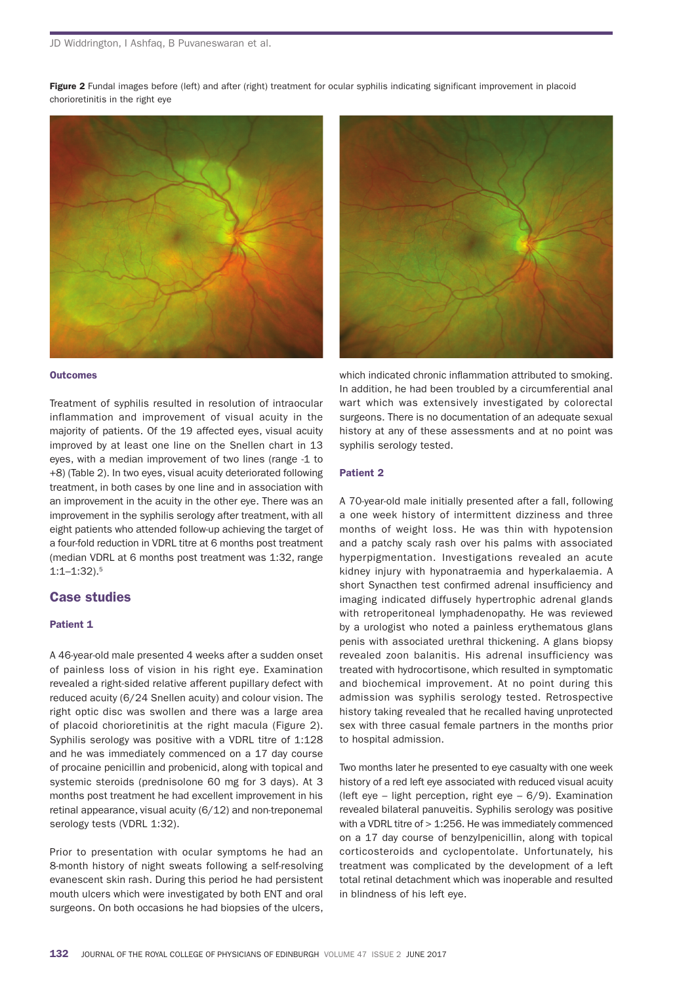Figure 2 Fundal images before (left) and after (right) treatment for ocular syphilis indicating significant improvement in placoid chorioretinitis in the right eye



#### **Outcomes**

Treatment of syphilis resulted in resolution of intraocular inflammation and improvement of visual acuity in the majority of patients. of the 19 affected eyes, visual acuity improved by at least one line on the Snellen chart in 13 eyes, with a median improvement of two lines (range -1 to +8) (Table 2). In two eyes, visual acuity deteriorated following treatment, in both cases by one line and in association with an improvement in the acuity in the other eye. There was an improvement in the syphilis serology after treatment, with all eight patients who attended follow-up achieving the target of a four-fold reduction in VDRL titre at 6 months post treatment (median VDRL at 6 months post treatment was 1:32, range 1:1–1:32).5

# Case studies

#### Patient 1

a 46-year-old male presented 4 weeks after a sudden onset of painless loss of vision in his right eye. Examination revealed a right-sided relative afferent pupillary defect with reduced acuity (6/24 Snellen acuity) and colour vision. The right optic disc was swollen and there was a large area of placoid chorioretinitis at the right macula (figure 2). Syphilis serology was positive with a VDRL titre of 1:128 and he was immediately commenced on a 17 day course of procaine penicillin and probenicid, along with topical and systemic steroids (prednisolone 60 mg for 3 days). At 3 months post treatment he had excellent improvement in his retinal appearance, visual acuity (6/12) and non-treponemal serology tests (VDRL 1:32).

Prior to presentation with ocular symptoms he had an 8-month history of night sweats following a self-resolving evanescent skin rash. During this period he had persistent mouth ulcers which were investigated by both ENT and oral surgeons. On both occasions he had biopsies of the ulcers,



which indicated chronic inflammation attributed to smoking. in addition, he had been troubled by a circumferential anal wart which was extensively investigated by colorectal surgeons. There is no documentation of an adequate sexual history at any of these assessments and at no point was syphilis serology tested.

#### Patient 2

a 70-year-old male initially presented after a fall, following a one week history of intermittent dizziness and three months of weight loss. he was thin with hypotension and a patchy scaly rash over his palms with associated hyperpigmentation. investigations revealed an acute kidney injury with hyponatraemia and hyperkalaemia. A short Synacthen test confirmed adrenal insufficiency and imaging indicated diffusely hypertrophic adrenal glands with retroperitoneal lymphadenopathy. he was reviewed by a urologist who noted a painless erythematous glans penis with associated urethral thickening. A glans biopsy revealed zoon balanitis. his adrenal insufficiency was treated with hydrocortisone, which resulted in symptomatic and biochemical improvement. at no point during this admission was syphilis serology tested. Retrospective history taking revealed that he recalled having unprotected sex with three casual female partners in the months prior to hospital admission.

Two months later he presented to eye casualty with one week history of a red left eye associated with reduced visual acuity (left eye – light perception, right eye –  $6/9$ ). Examination revealed bilateral panuveitis. syphilis serology was positive with a VDRL titre of  $>$  1:256. He was immediately commenced on a 17 day course of benzylpenicillin, along with topical corticosteroids and cyclopentolate. Unfortunately, his treatment was complicated by the development of a left total retinal detachment which was inoperable and resulted in blindness of his left eye.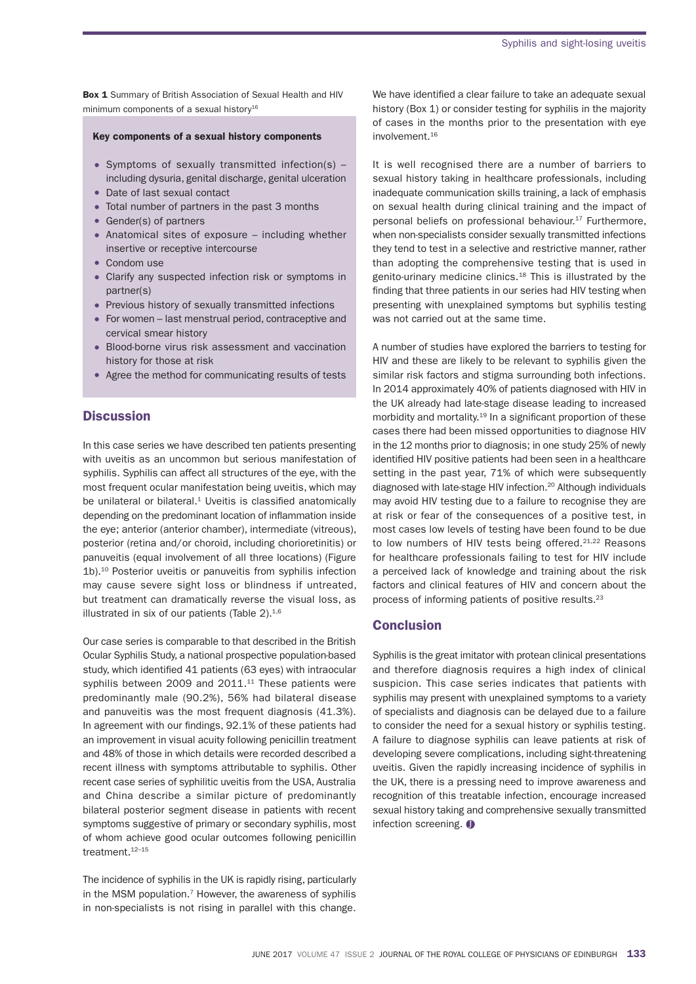Box 1 Summary of British Association of Sexual Health and HIV minimum components of a sexual history<sup>16</sup>

#### Key components of a sexual history components

- symptoms of sexually transmitted infection(s) including dysuria, genital discharge, genital ulceration
- Date of last sexual contact
- Total number of partners in the past 3 months
- Gender(s) of partners
- Anatomical sites of exposure  $-$  including whether insertive or receptive intercourse
- Condom use
- Clarify any suspected infection risk or symptoms in partner(s)
- Previous history of sexually transmitted infections
- for women last menstrual period, contraceptive and cervical smear history
- Blood-borne virus risk assessment and vaccination history for those at risk
- agree the method for communicating results of tests

## **Discussion**

In this case series we have described ten patients presenting with uveitis as an uncommon but serious manifestation of syphilis. syphilis can affect all structures of the eye, with the most frequent ocular manifestation being uveitis, which may be unilateral or bilateral. $1$  Uveitis is classified anatomically depending on the predominant location of inflammation inside the eye; anterior (anterior chamber), intermediate (vitreous), posterior (retina and/or choroid, including chorioretinitis) or panuveitis (equal involvement of all three locations) (figure 1b).10 Posterior uveitis or panuveitis from syphilis infection may cause severe sight loss or blindness if untreated, but treatment can dramatically reverse the visual loss, as illustrated in six of our patients (Table  $2$ ).<sup>1,6</sup>

Our case series is comparable to that described in the British ocular syphilis study, a national prospective population-based study, which identified 41 patients (63 eyes) with intraocular syphilis between 2009 and 2011.<sup>11</sup> These patients were predominantly male (90.2%), 56% had bilateral disease and panuveitis was the most frequent diagnosis (41.3%). In agreement with our findings, 92.1% of these patients had an improvement in visual acuity following penicillin treatment and 48% of those in which details were recorded described a recent illness with symptoms attributable to syphilis. other recent case series of syphilitic uveitis from the USA, Australia and China describe a similar picture of predominantly bilateral posterior segment disease in patients with recent symptoms suggestive of primary or secondary syphilis, most of whom achieve good ocular outcomes following penicillin treatment.<sup>12-15</sup>

The incidence of syphilis in the UK is rapidly rising, particularly in the MSM population.<sup>7</sup> However, the awareness of syphilis in non-specialists is not rising in parallel with this change.

We have identified a clear failure to take an adequate sexual history (Box 1) or consider testing for syphilis in the majority of cases in the months prior to the presentation with eye involvement.<sup>16</sup>

It is well recognised there are a number of barriers to sexual history taking in healthcare professionals, including inadequate communication skills training, a lack of emphasis on sexual health during clinical training and the impact of personal beliefs on professional behaviour.<sup>17</sup> Furthermore, when non-specialists consider sexually transmitted infections they tend to test in a selective and restrictive manner, rather than adopting the comprehensive testing that is used in genito-urinary medicine clinics.<sup>18</sup> This is illustrated by the finding that three patients in our series had HIV testing when presenting with unexplained symptoms but syphilis testing was not carried out at the same time.

a number of studies have explored the barriers to testing for hiv and these are likely to be relevant to syphilis given the similar risk factors and stigma surrounding both infections. in 2014 approximately 40% of patients diagnosed with hiv in the UK already had late-stage disease leading to increased morbidity and mortality.<sup>19</sup> In a significant proportion of these cases there had been missed opportunities to diagnose hiv in the 12 months prior to diagnosis; in one study 25% of newly identified HIV positive patients had been seen in a healthcare setting in the past year, 71% of which were subsequently diagnosed with late-stage HIV infection.<sup>20</sup> Although individuals may avoid hiv testing due to a failure to recognise they are at risk or fear of the consequences of a positive test, in most cases low levels of testing have been found to be due to low numbers of HIV tests being offered. $21,22$  Reasons for healthcare professionals failing to test for hiv include a perceived lack of knowledge and training about the risk factors and clinical features of hiv and concern about the process of informing patients of positive results.23

### **Conclusion**

syphilis is the great imitator with protean clinical presentations and therefore diagnosis requires a high index of clinical suspicion. This case series indicates that patients with syphilis may present with unexplained symptoms to a variety of specialists and diagnosis can be delayed due to a failure to consider the need for a sexual history or syphilis testing. a failure to diagnose syphilis can leave patients at risk of developing severe complications, including sight-threatening uveitis. given the rapidly increasing incidence of syphilis in the UK, there is a pressing need to improve awareness and recognition of this treatable infection, encourage increased sexual history taking and comprehensive sexually transmitted infection screening.  $\bullet$